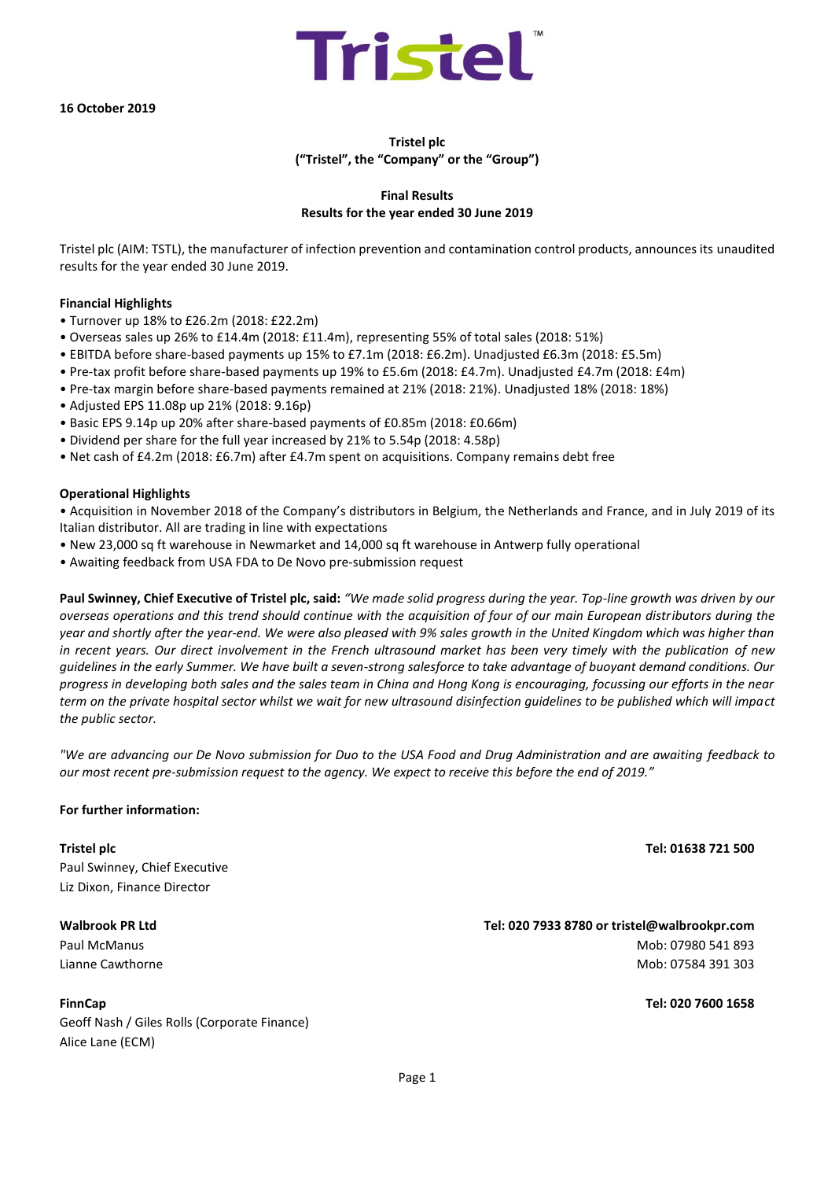**16 October 2019**

# **Tristel plc ("Tristel", the "Company" or the "Group")**

Tristel

# **Final Results Results for the year ended 30 June 2019**

Tristel plc (AIM: TSTL), the manufacturer of infection prevention and contamination control products, announces its unaudited results for the year ended 30 June 2019.

#### **Financial Highlights**

- Turnover up 18% to £26.2m (2018: £22.2m)
- Overseas sales up 26% to £14.4m (2018: £11.4m), representing 55% of total sales (2018: 51%)
- EBITDA before share-based payments up 15% to £7.1m (2018: £6.2m). Unadjusted £6.3m (2018: £5.5m)
- Pre-tax profit before share-based payments up 19% to £5.6m (2018: £4.7m). Unadjusted £4.7m (2018: £4m)
- Pre-tax margin before share-based payments remained at 21% (2018: 21%). Unadjusted 18% (2018: 18%)
- Adjusted EPS 11.08p up 21% (2018: 9.16p)
- Basic EPS 9.14p up 20% after share-based payments of £0.85m (2018: £0.66m)
- Dividend per share for the full year increased by 21% to 5.54p (2018: 4.58p)
- Net cash of £4.2m (2018: £6.7m) after £4.7m spent on acquisitions. Company remains debt free

#### **Operational Highlights**

• Acquisition in November 2018 of the Company's distributors in Belgium, the Netherlands and France, and in July 2019 of its Italian distributor. All are trading in line with expectations

- New 23,000 sq ft warehouse in Newmarket and 14,000 sq ft warehouse in Antwerp fully operational
- Awaiting feedback from USA FDA to De Novo pre-submission request

**Paul Swinney, Chief Executive of Tristel plc, said:** *"We made solid progress during the year. Top-line growth was driven by our overseas operations and this trend should continue with the acquisition of four of our main European distributors during the year and shortly after the year-end. We were also pleased with 9% sales growth in the United Kingdom which was higher than in recent years. Our direct involvement in the French ultrasound market has been very timely with the publication of new guidelines in the early Summer. We have built a seven-strong salesforce to take advantage of buoyant demand conditions. Our progress in developing both sales and the sales team in China and Hong Kong is encouraging, focussing our efforts in the near term on the private hospital sector whilst we wait for new ultrasound disinfection guidelines to be published which will impact the public sector.* 

*"We are advancing our De Novo submission for Duo to the USA Food and Drug Administration and are awaiting feedback to our most recent pre-submission request to the agency. We expect to receive this before the end of 2019."*

#### **For further information:**

Paul Swinney, Chief Executive Liz Dixon, Finance Director

Geoff Nash / Giles Rolls (Corporate Finance) Alice Lane (ECM)

**Tristel plc Tel: 01638 721 500**

# **Walbrook PR Ltd Tel: 020 7933 8780 or tristel@walbrookpr.com** Paul McManus 2013 - 2022 - 2023 - 2024 - 2022 - 2023 - 2024 - 2022 - 2023 - 2024 - 2022 - 2023 - 2023 - 2023 - 2023 - 2023 - 2023 - 2023 - 2023 - 2023 - 2023 - 2023 - 2023 - 2023 - 2023 - 2023 - 2023 - 2023 - 2023 - 2023 -Lianne Cawthorne Mob: 07584 391 303

**FinnCap Tel: 020 7600 1658**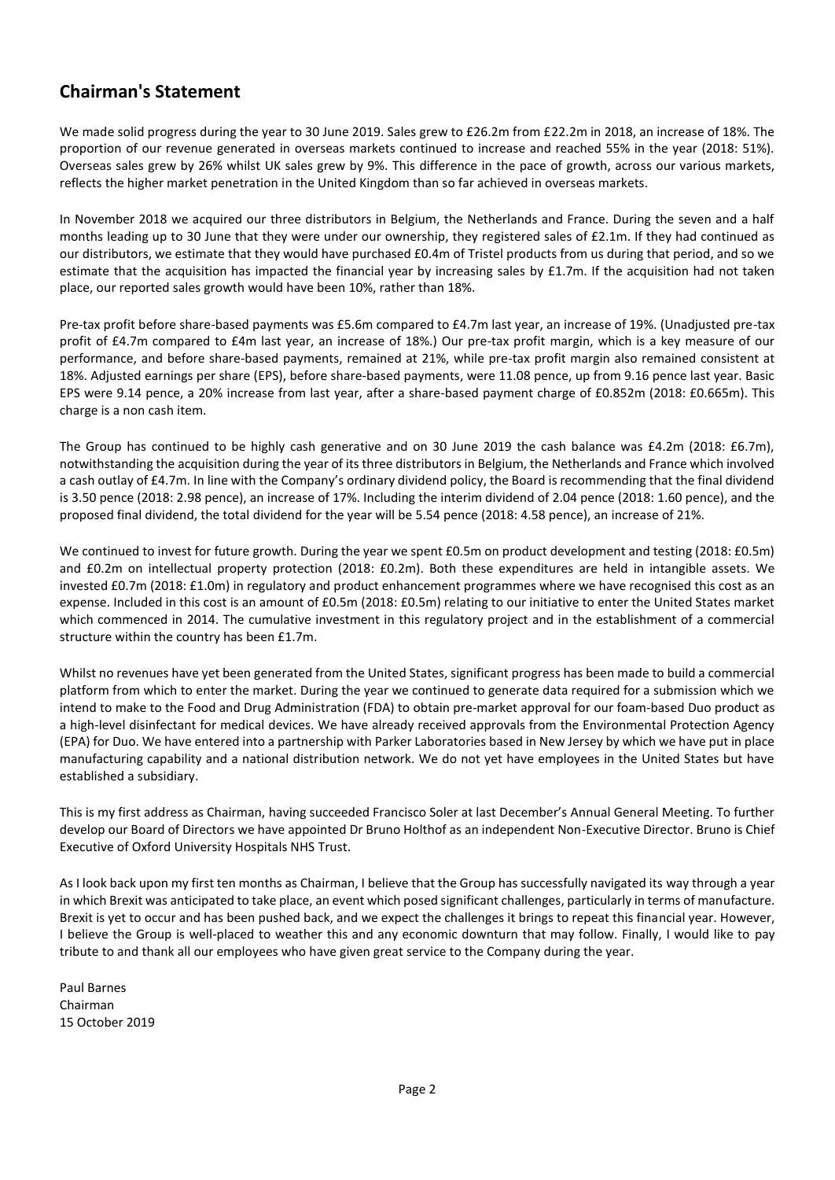# **Chairman's Statement**

We made solid progress during the year to 30 June 2019. Sales grew to £26.2m from £22.2m in 2018, an increase of 18%. The proportion of our revenue generated in overseas markets continued to increase and reached 55% in the year (2018: 51%). Overseas sales grew by 26% whilst UK sales grew by 9%. This difference in the pace of growth, across our various markets, reflects the higher market penetration in the United Kingdom than so far achieved in overseas markets.

In November 2018 we acquired our three distributors in Belgium, the Netherlands and France. During the seven and a half months leading up to 30 June that they were under our ownership, they registered sales of £2.1m. If they had continued as our distributors, we estimate that they would have purchased £0.4m of Tristel products from us during that period, and so we estimate that the acquisition has impacted the financial year by increasing sales by £1.7m. If the acquisition had not taken place, our reported sales growth would have been 10%, rather than 18%.

Pre-tax profit before share-based payments was £5.6m compared to £4.7m last year, an increase of 19%. (Unadjusted pre-tax profit of £4.7m compared to £4m last year, an increase of 18%.) Our pre-tax profit margin, which is a key measure of our performance, and before share-based payments, remained at 21%, while pre-tax profit margin also remained consistent at 18%. Adjusted earnings per share (EPS), before share-based payments, were 11.08 pence, up from 9.16 pence last year. Basic EPS were 9.14 pence, a 20% increase from last year, after a share-based payment charge of £0.852m (2018: £0.665m). This charge is a non cash item.

The Group has continued to be highly cash generative and on 30 June 2019 the cash balance was £4.2m (2018: £6.7m), notwithstanding the acquisition during the year of its three distributors in Belgium, the Netherlands and France which involved a cash outlay of £4.7m. In line with the Company's ordinary dividend policy, the Board is recommending that the final dividend is 3.50 pence (2018: 2.98 pence), an increase of 17%. Including the interim dividend of 2.04 pence (2018: 1.60 pence), and the proposed final dividend, the total dividend for the year will be 5.54 pence (2018: 4.58 pence), an increase of 21%.

We continued to invest for future growth. During the year we spent £0.5m on product development and testing (2018: £0.5m) and £0.2m on intellectual property protection (2018: £0.2m). Both these expenditures are held in intangible assets. We invested £0.7m (2018: £1.0m) in regulatory and product enhancement programmes where we have recognised this cost as an expense. Included in this cost is an amount of £0.5m (2018: £0.5m) relating to our initiative to enter the United States market which commenced in 2014. The cumulative investment in this regulatory project and in the establishment of a commercial structure within the country has been £1.7m.

Whilst no revenues have yet been generated from the United States, significant progress has been made to build a commercial platform from which to enter the market. During the year we continued to generate data required for a submission which we intend to make to the Food and Drug Administration (FDA) to obtain pre-market approval for our foam-based Duo product as a high-level disinfectant for medical devices. We have already received approvals from the Environmental Protection Agency (EPA) for Duo. We have entered into a partnership with Parker Laboratories based in New Jersey by which we have put in place manufacturing capability and a national distribution network. We do not yet have employees in the United States but have established a subsidiary.

This is my first address as Chairman, having succeeded Francisco Soler at last December's Annual General Meeting. To further develop our Board of Directors we have appointed Dr Bruno Holthof as an independent Non-Executive Director. Bruno is Chief Executive of Oxford University Hospitals NHS Trust.

As I look back upon my first ten months as Chairman, I believe that the Group has successfully navigated its way through a year in which Brexit was anticipated to take place, an event which posed significant challenges, particularly in terms of manufacture. Brexit is yet to occur and has been pushed back, and we expect the challenges it brings to repeat this financial year. However, I believe the Group is well-placed to weather this and any economic downturn that may follow. Finally, I would like to pay tribute to and thank all our employees who have given great service to the Company during the year.

Paul Barnes Chairman 15 October 2019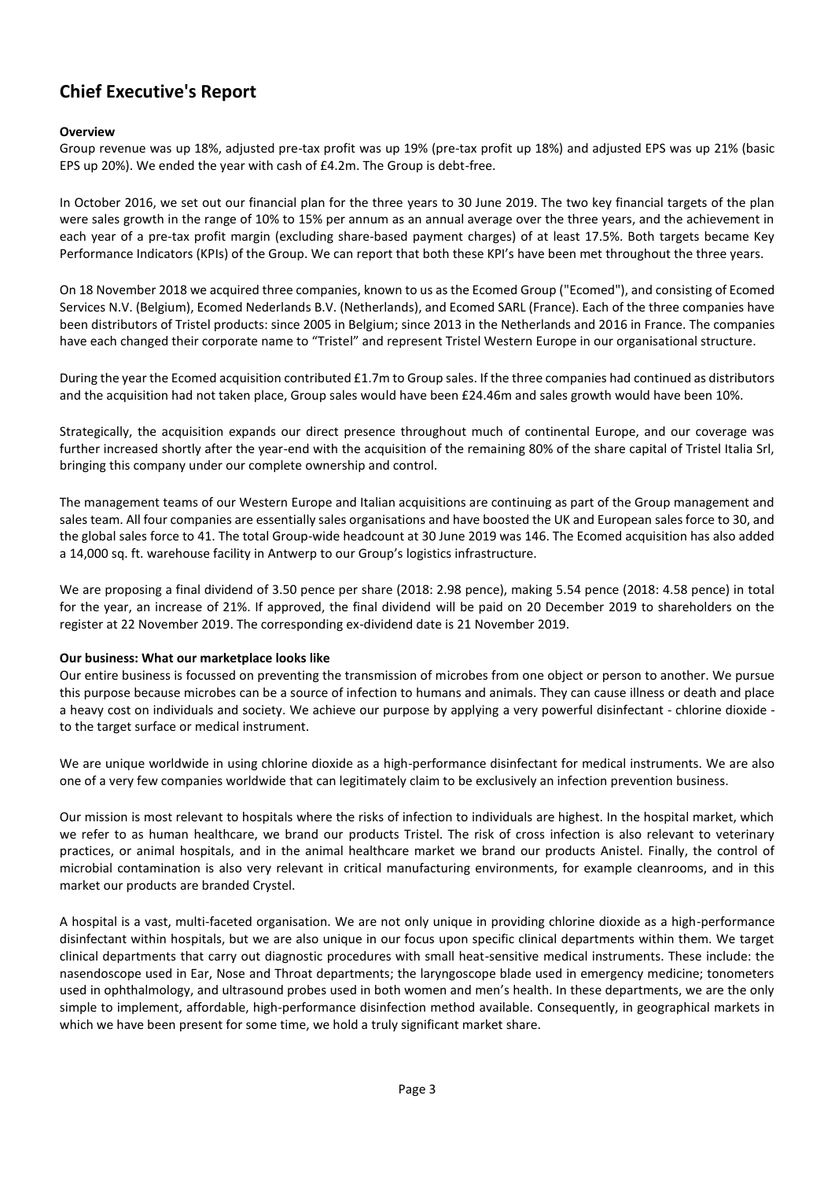# **Chief Executive's Report**

# **Overview**

Group revenue was up 18%, adjusted pre-tax profit was up 19% (pre-tax profit up 18%) and adjusted EPS was up 21% (basic EPS up 20%). We ended the year with cash of £4.2m. The Group is debt-free.

In October 2016, we set out our financial plan for the three years to 30 June 2019. The two key financial targets of the plan were sales growth in the range of 10% to 15% per annum as an annual average over the three years, and the achievement in each year of a pre-tax profit margin (excluding share-based payment charges) of at least 17.5%. Both targets became Key Performance Indicators (KPIs) of the Group. We can report that both these KPI's have been met throughout the three years.

On 18 November 2018 we acquired three companies, known to us as the Ecomed Group ("Ecomed"), and consisting of Ecomed Services N.V. (Belgium), Ecomed Nederlands B.V. (Netherlands), and Ecomed SARL (France). Each of the three companies have been distributors of Tristel products: since 2005 in Belgium; since 2013 in the Netherlands and 2016 in France. The companies have each changed their corporate name to "Tristel" and represent Tristel Western Europe in our organisational structure.

During the year the Ecomed acquisition contributed £1.7m to Group sales. If the three companies had continued as distributors and the acquisition had not taken place, Group sales would have been £24.46m and sales growth would have been 10%.

Strategically, the acquisition expands our direct presence throughout much of continental Europe, and our coverage was further increased shortly after the year-end with the acquisition of the remaining 80% of the share capital of Tristel Italia Srl, bringing this company under our complete ownership and control.

The management teams of our Western Europe and Italian acquisitions are continuing as part of the Group management and sales team. All four companies are essentially sales organisations and have boosted the UK and European sales force to 30, and the global sales force to 41. The total Group-wide headcount at 30 June 2019 was 146. The Ecomed acquisition has also added a 14,000 sq. ft. warehouse facility in Antwerp to our Group's logistics infrastructure.

We are proposing a final dividend of 3.50 pence per share (2018: 2.98 pence), making 5.54 pence (2018: 4.58 pence) in total for the year, an increase of 21%. If approved, the final dividend will be paid on 20 December 2019 to shareholders on the register at 22 November 2019. The corresponding ex-dividend date is 21 November 2019.

# **Our business: What our marketplace looks like**

Our entire business is focussed on preventing the transmission of microbes from one object or person to another. We pursue this purpose because microbes can be a source of infection to humans and animals. They can cause illness or death and place a heavy cost on individuals and society. We achieve our purpose by applying a very powerful disinfectant - chlorine dioxide to the target surface or medical instrument.

We are unique worldwide in using chlorine dioxide as a high-performance disinfectant for medical instruments. We are also one of a very few companies worldwide that can legitimately claim to be exclusively an infection prevention business.

Our mission is most relevant to hospitals where the risks of infection to individuals are highest. In the hospital market, which we refer to as human healthcare, we brand our products Tristel. The risk of cross infection is also relevant to veterinary practices, or animal hospitals, and in the animal healthcare market we brand our products Anistel. Finally, the control of microbial contamination is also very relevant in critical manufacturing environments, for example cleanrooms, and in this market our products are branded Crystel.

A hospital is a vast, multi-faceted organisation. We are not only unique in providing chlorine dioxide as a high-performance disinfectant within hospitals, but we are also unique in our focus upon specific clinical departments within them. We target clinical departments that carry out diagnostic procedures with small heat-sensitive medical instruments. These include: the nasendoscope used in Ear, Nose and Throat departments; the laryngoscope blade used in emergency medicine; tonometers used in ophthalmology, and ultrasound probes used in both women and men's health. In these departments, we are the only simple to implement, affordable, high-performance disinfection method available. Consequently, in geographical markets in which we have been present for some time, we hold a truly significant market share.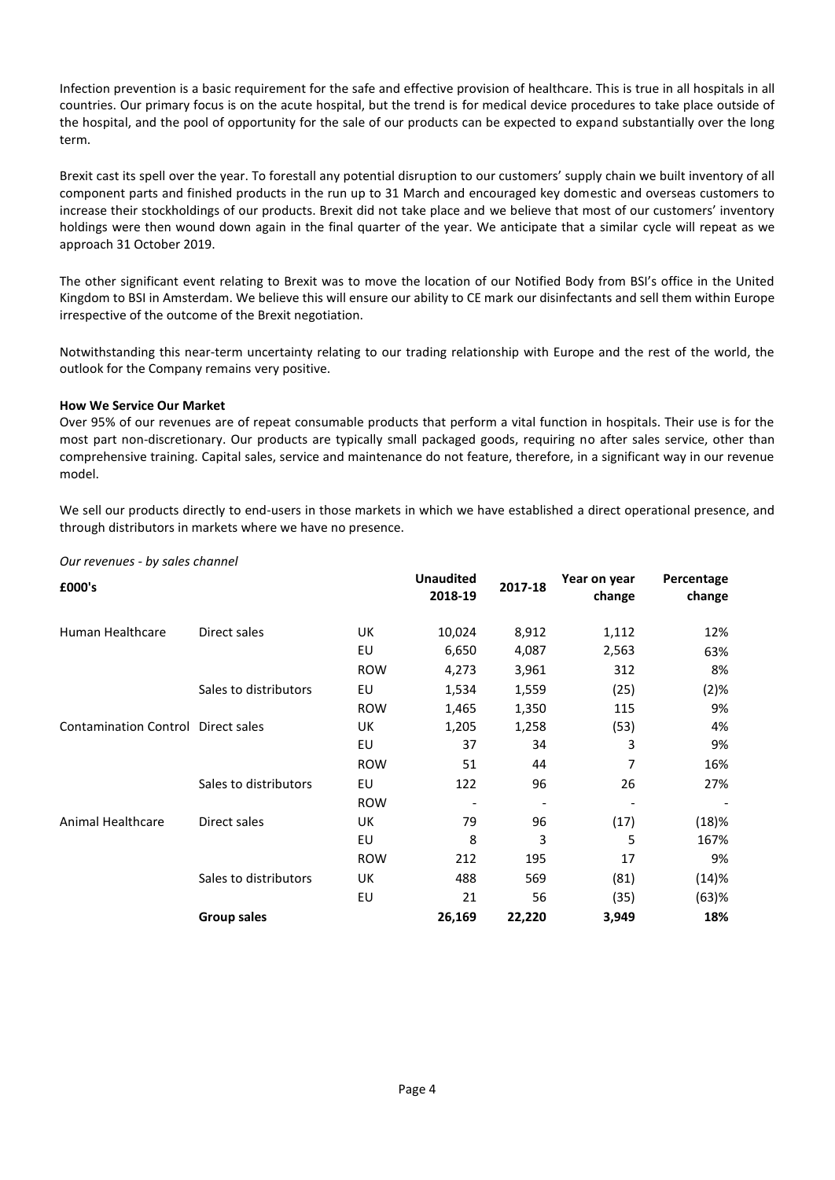Infection prevention is a basic requirement for the safe and effective provision of healthcare. This is true in all hospitals in all countries. Our primary focus is on the acute hospital, but the trend is for medical device procedures to take place outside of the hospital, and the pool of opportunity for the sale of our products can be expected to expand substantially over the long term.

Brexit cast its spell over the year. To forestall any potential disruption to our customers' supply chain we built inventory of all component parts and finished products in the run up to 31 March and encouraged key domestic and overseas customers to increase their stockholdings of our products. Brexit did not take place and we believe that most of our customers' inventory holdings were then wound down again in the final quarter of the year. We anticipate that a similar cycle will repeat as we approach 31 October 2019.

The other significant event relating to Brexit was to move the location of our Notified Body from BSI's office in the United Kingdom to BSI in Amsterdam. We believe this will ensure our ability to CE mark our disinfectants and sell them within Europe irrespective of the outcome of the Brexit negotiation.

Notwithstanding this near-term uncertainty relating to our trading relationship with Europe and the rest of the world, the outlook for the Company remains very positive.

# **How We Service Our Market**

Over 95% of our revenues are of repeat consumable products that perform a vital function in hospitals. Their use is for the most part non-discretionary. Our products are typically small packaged goods, requiring no after sales service, other than comprehensive training. Capital sales, service and maintenance do not feature, therefore, in a significant way in our revenue model.

We sell our products directly to end-users in those markets in which we have established a direct operational presence, and through distributors in markets where we have no presence.

| £000's                             |                       |            | <b>Unaudited</b><br>2018-19 | 2017-18 | Year on year<br>change | Percentage<br>change |
|------------------------------------|-----------------------|------------|-----------------------------|---------|------------------------|----------------------|
| Human Healthcare                   | Direct sales          | UK         | 10,024                      | 8,912   | 1,112                  | 12%                  |
|                                    |                       | EU         | 6,650                       | 4,087   | 2,563                  | 63%                  |
|                                    |                       | <b>ROW</b> | 4,273                       | 3,961   | 312                    | 8%                   |
|                                    | Sales to distributors | EU         | 1,534                       | 1,559   | (25)                   | (2)%                 |
|                                    |                       | <b>ROW</b> | 1,465                       | 1,350   | 115                    | 9%                   |
| Contamination Control Direct sales |                       | UK         | 1,205                       | 1,258   | (53)                   | 4%                   |
|                                    |                       | EU         | 37                          | 34      | 3                      | 9%                   |
|                                    |                       | <b>ROW</b> | 51                          | 44      | 7                      | 16%                  |
|                                    | Sales to distributors | EU         | 122                         | 96      | 26                     | 27%                  |
|                                    |                       | <b>ROW</b> |                             |         |                        |                      |
| <b>Animal Healthcare</b>           | Direct sales          | UK         | 79                          | 96      | (17)                   | (18)%                |
|                                    |                       | EU         | 8                           | 3       | 5                      | 167%                 |
|                                    |                       | <b>ROW</b> | 212                         | 195     | 17                     | 9%                   |
|                                    | Sales to distributors | UK         | 488                         | 569     | (81)                   | (14)%                |
|                                    |                       | EU         | 21                          | 56      | (35)                   | (63)%                |
|                                    | <b>Group sales</b>    |            | 26,169                      | 22,220  | 3,949                  | 18%                  |

*Our revenues - by sales channel*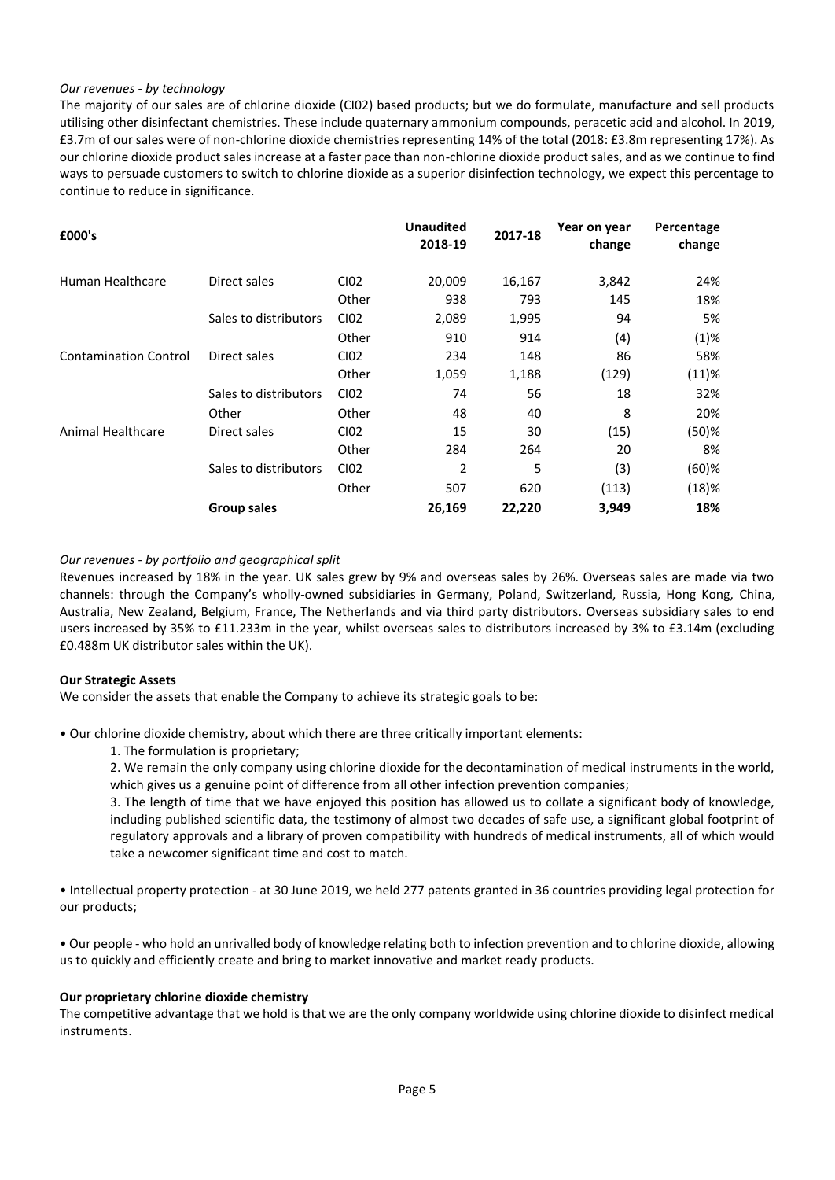# *Our revenues - by technology*

The majority of our sales are of chlorine dioxide (CI02) based products; but we do formulate, manufacture and sell products utilising other disinfectant chemistries. These include quaternary ammonium compounds, peracetic acid and alcohol. In 2019, £3.7m of our sales were of non-chlorine dioxide chemistries representing 14% of the total (2018: £3.8m representing 17%). As our chlorine dioxide product sales increase at a faster pace than non-chlorine dioxide product sales, and as we continue to find ways to persuade customers to switch to chlorine dioxide as a superior disinfection technology, we expect this percentage to continue to reduce in significance.

| £000's                       |                       |       | <b>Unaudited</b><br>2018-19 | 2017-18 | Year on year<br>change | Percentage<br>change |
|------------------------------|-----------------------|-------|-----------------------------|---------|------------------------|----------------------|
| Human Healthcare             | Direct sales          | CI02  | 20,009                      | 16,167  | 3,842                  | 24%                  |
|                              |                       | Other | 938                         | 793     | 145                    | 18%                  |
|                              | Sales to distributors | CI02  | 2,089                       | 1,995   | 94                     | 5%                   |
|                              |                       | Other | 910                         | 914     | (4)                    | (1)%                 |
| <b>Contamination Control</b> | Direct sales          | CI02  | 234                         | 148     | 86                     | 58%                  |
|                              |                       | Other | 1,059                       | 1,188   | (129)                  | $(11)\%$             |
|                              | Sales to distributors | CI02  | 74                          | 56      | 18                     | 32%                  |
|                              | Other                 | Other | 48                          | 40      | 8                      | 20%                  |
| Animal Healthcare            | Direct sales          | CI02  | 15                          | 30      | (15)                   | (50)%                |
|                              |                       | Other | 284                         | 264     | 20                     | 8%                   |
|                              | Sales to distributors | CI02  | 2                           | 5       | (3)                    | $(60)$ %             |
|                              |                       | Other | 507                         | 620     | (113)                  | (18)%                |
|                              | <b>Group sales</b>    |       | 26,169                      | 22,220  | 3,949                  | 18%                  |

#### *Our revenues - by portfolio and geographical split*

Revenues increased by 18% in the year. UK sales grew by 9% and overseas sales by 26%. Overseas sales are made via two channels: through the Company's wholly-owned subsidiaries in Germany, Poland, Switzerland, Russia, Hong Kong, China, Australia, New Zealand, Belgium, France, The Netherlands and via third party distributors. Overseas subsidiary sales to end users increased by 35% to £11.233m in the year, whilst overseas sales to distributors increased by 3% to £3.14m (excluding £0.488m UK distributor sales within the UK).

#### **Our Strategic Assets**

We consider the assets that enable the Company to achieve its strategic goals to be:

• Our chlorine dioxide chemistry, about which there are three critically important elements:

1. The formulation is proprietary;

2. We remain the only company using chlorine dioxide for the decontamination of medical instruments in the world, which gives us a genuine point of difference from all other infection prevention companies;

3. The length of time that we have enjoyed this position has allowed us to collate a significant body of knowledge, including published scientific data, the testimony of almost two decades of safe use, a significant global footprint of regulatory approvals and a library of proven compatibility with hundreds of medical instruments, all of which would take a newcomer significant time and cost to match.

• Intellectual property protection - at 30 June 2019, we held 277 patents granted in 36 countries providing legal protection for our products;

• Our people - who hold an unrivalled body of knowledge relating both to infection prevention and to chlorine dioxide, allowing us to quickly and efficiently create and bring to market innovative and market ready products.

#### **Our proprietary chlorine dioxide chemistry**

The competitive advantage that we hold is that we are the only company worldwide using chlorine dioxide to disinfect medical instruments.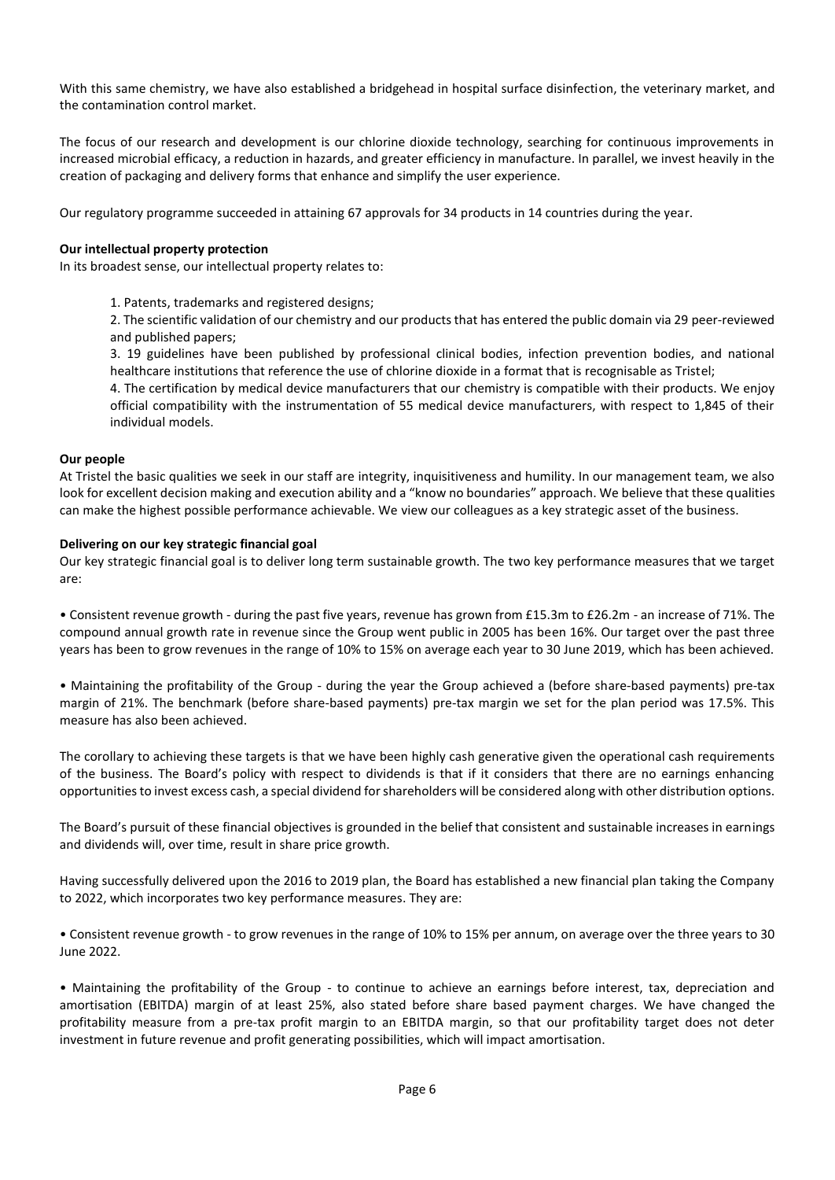With this same chemistry, we have also established a bridgehead in hospital surface disinfection, the veterinary market, and the contamination control market.

The focus of our research and development is our chlorine dioxide technology, searching for continuous improvements in increased microbial efficacy, a reduction in hazards, and greater efficiency in manufacture. In parallel, we invest heavily in the creation of packaging and delivery forms that enhance and simplify the user experience.

Our regulatory programme succeeded in attaining 67 approvals for 34 products in 14 countries during the year.

# **Our intellectual property protection**

In its broadest sense, our intellectual property relates to:

1. Patents, trademarks and registered designs;

2. The scientific validation of our chemistry and our products that has entered the public domain via 29 peer-reviewed and published papers;

3. 19 guidelines have been published by professional clinical bodies, infection prevention bodies, and national healthcare institutions that reference the use of chlorine dioxide in a format that is recognisable as Tristel;

4. The certification by medical device manufacturers that our chemistry is compatible with their products. We enjoy official compatibility with the instrumentation of 55 medical device manufacturers, with respect to 1,845 of their individual models.

# **Our people**

At Tristel the basic qualities we seek in our staff are integrity, inquisitiveness and humility. In our management team, we also look for excellent decision making and execution ability and a "know no boundaries" approach. We believe that these qualities can make the highest possible performance achievable. We view our colleagues as a key strategic asset of the business.

# **Delivering on our key strategic financial goal**

Our key strategic financial goal is to deliver long term sustainable growth. The two key performance measures that we target are:

• Consistent revenue growth - during the past five years, revenue has grown from £15.3m to £26.2m - an increase of 71%. The compound annual growth rate in revenue since the Group went public in 2005 has been 16%. Our target over the past three years has been to grow revenues in the range of 10% to 15% on average each year to 30 June 2019, which has been achieved.

• Maintaining the profitability of the Group - during the year the Group achieved a (before share-based payments) pre-tax margin of 21%. The benchmark (before share-based payments) pre-tax margin we set for the plan period was 17.5%. This measure has also been achieved.

The corollary to achieving these targets is that we have been highly cash generative given the operational cash requirements of the business. The Board's policy with respect to dividends is that if it considers that there are no earnings enhancing opportunities to invest excess cash, a special dividend for shareholders will be considered along with other distribution options.

The Board's pursuit of these financial objectives is grounded in the belief that consistent and sustainable increases in earnings and dividends will, over time, result in share price growth.

Having successfully delivered upon the 2016 to 2019 plan, the Board has established a new financial plan taking the Company to 2022, which incorporates two key performance measures. They are:

• Consistent revenue growth - to grow revenues in the range of 10% to 15% per annum, on average over the three years to 30 June 2022.

• Maintaining the profitability of the Group - to continue to achieve an earnings before interest, tax, depreciation and amortisation (EBITDA) margin of at least 25%, also stated before share based payment charges. We have changed the profitability measure from a pre-tax profit margin to an EBITDA margin, so that our profitability target does not deter investment in future revenue and profit generating possibilities, which will impact amortisation.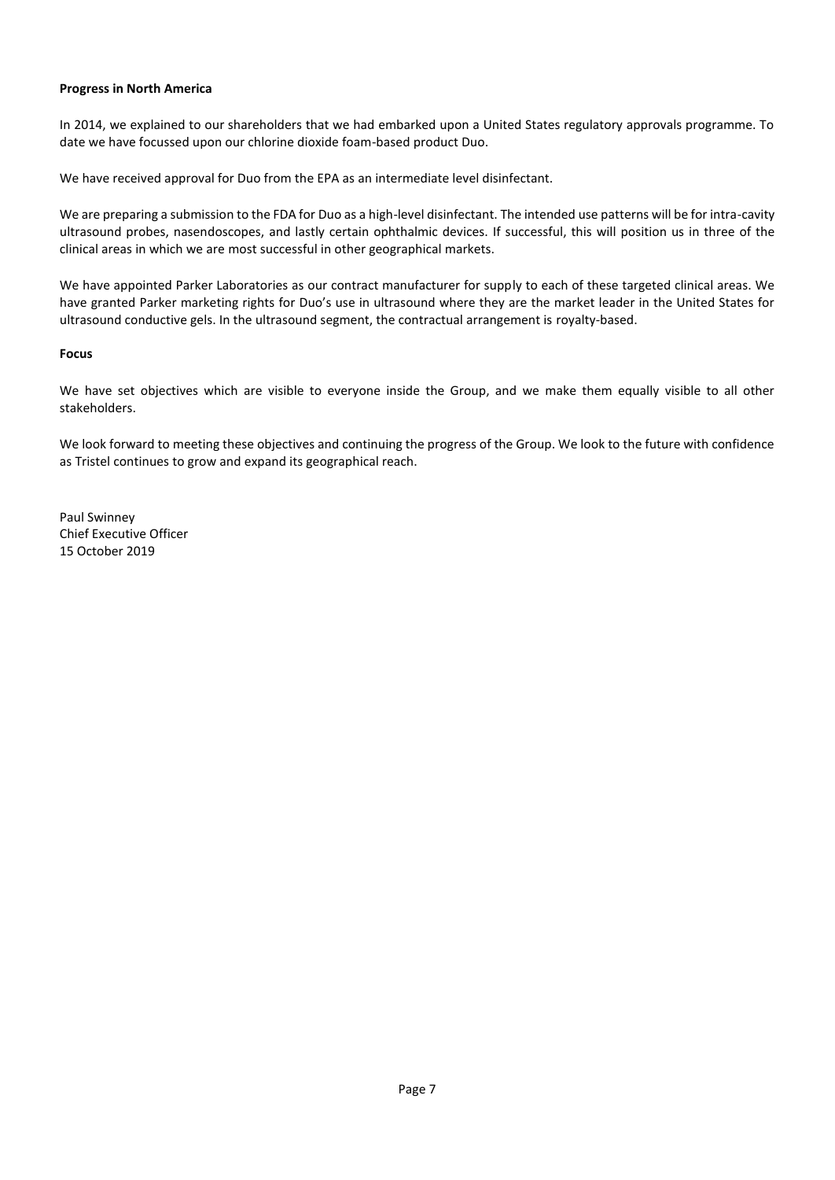# **Progress in North America**

In 2014, we explained to our shareholders that we had embarked upon a United States regulatory approvals programme. To date we have focussed upon our chlorine dioxide foam-based product Duo.

We have received approval for Duo from the EPA as an intermediate level disinfectant.

We are preparing a submission to the FDA for Duo as a high-level disinfectant. The intended use patterns will be for intra-cavity ultrasound probes, nasendoscopes, and lastly certain ophthalmic devices. If successful, this will position us in three of the clinical areas in which we are most successful in other geographical markets.

We have appointed Parker Laboratories as our contract manufacturer for supply to each of these targeted clinical areas. We have granted Parker marketing rights for Duo's use in ultrasound where they are the market leader in the United States for ultrasound conductive gels. In the ultrasound segment, the contractual arrangement is royalty-based.

#### **Focus**

We have set objectives which are visible to everyone inside the Group, and we make them equally visible to all other stakeholders.

We look forward to meeting these objectives and continuing the progress of the Group. We look to the future with confidence as Tristel continues to grow and expand its geographical reach.

Paul Swinney Chief Executive Officer 15 October 2019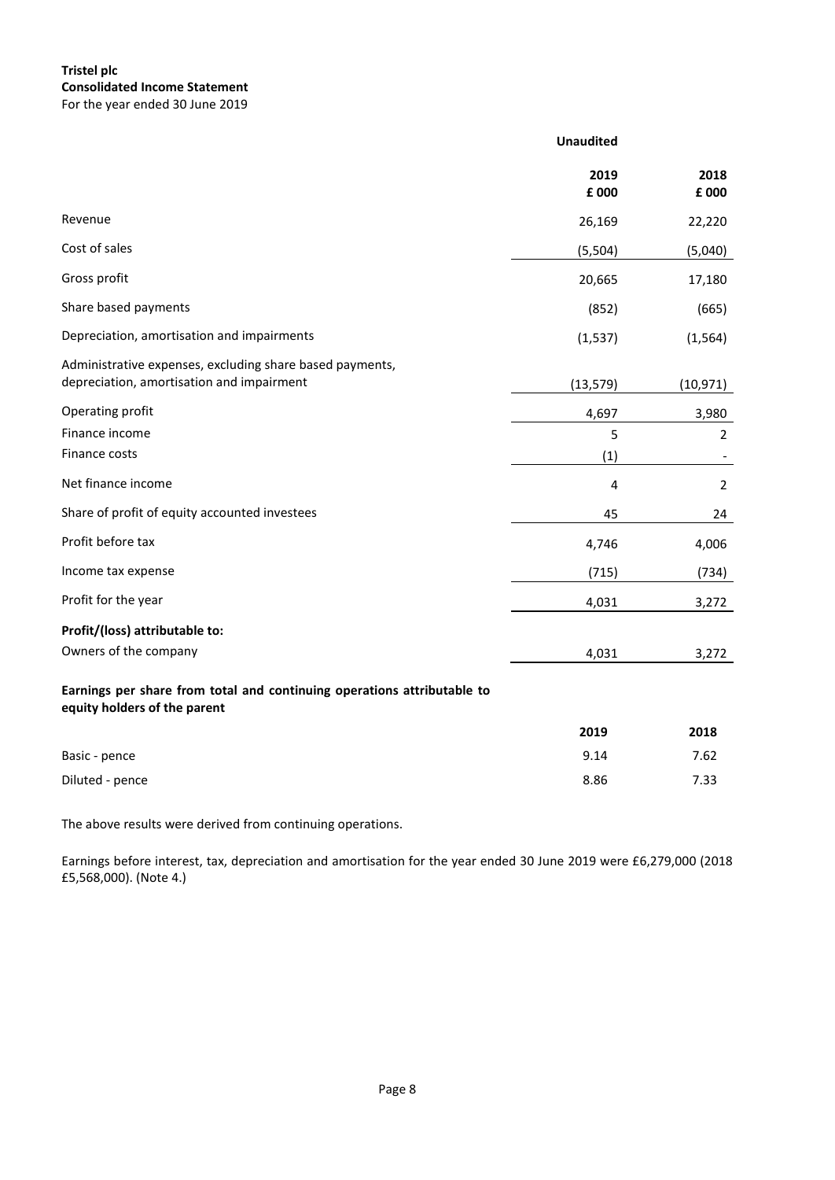# **Tristel plc Consolidated Income Statement** For the year ended 30 June 2019

|                                                                                                         | <b>Unaudited</b> |                |
|---------------------------------------------------------------------------------------------------------|------------------|----------------|
|                                                                                                         | 2019<br>£ 000    | 2018<br>£ 000  |
| Revenue                                                                                                 | 26,169           | 22,220         |
| Cost of sales                                                                                           | (5,504)          | (5,040)        |
| Gross profit                                                                                            | 20,665           | 17,180         |
| Share based payments                                                                                    | (852)            | (665)          |
| Depreciation, amortisation and impairments                                                              | (1, 537)         | (1, 564)       |
| Administrative expenses, excluding share based payments,<br>depreciation, amortisation and impairment   | (13, 579)        | (10, 971)      |
| Operating profit                                                                                        | 4,697            | 3,980          |
| Finance income                                                                                          | 5                | $\overline{2}$ |
| Finance costs                                                                                           | (1)              |                |
| Net finance income                                                                                      | 4                | $\overline{2}$ |
| Share of profit of equity accounted investees                                                           | 45               | 24             |
| Profit before tax                                                                                       | 4,746            | 4,006          |
| Income tax expense                                                                                      | (715)            | (734)          |
| Profit for the year                                                                                     | 4,031            | 3,272          |
| Profit/(loss) attributable to:                                                                          |                  |                |
| Owners of the company                                                                                   | 4,031            | 3,272          |
| Earnings per share from total and continuing operations attributable to<br>equity holders of the parent |                  |                |
|                                                                                                         | 2019             | 2018           |
| Basic - pence                                                                                           | 9.14             | 7.62           |
| Diluted - pence                                                                                         | 8.86             | 7.33           |

The above results were derived from continuing operations.

Earnings before interest, tax, depreciation and amortisation for the year ended 30 June 2019 were £6,279,000 (2018 £5,568,000). (Note 4.)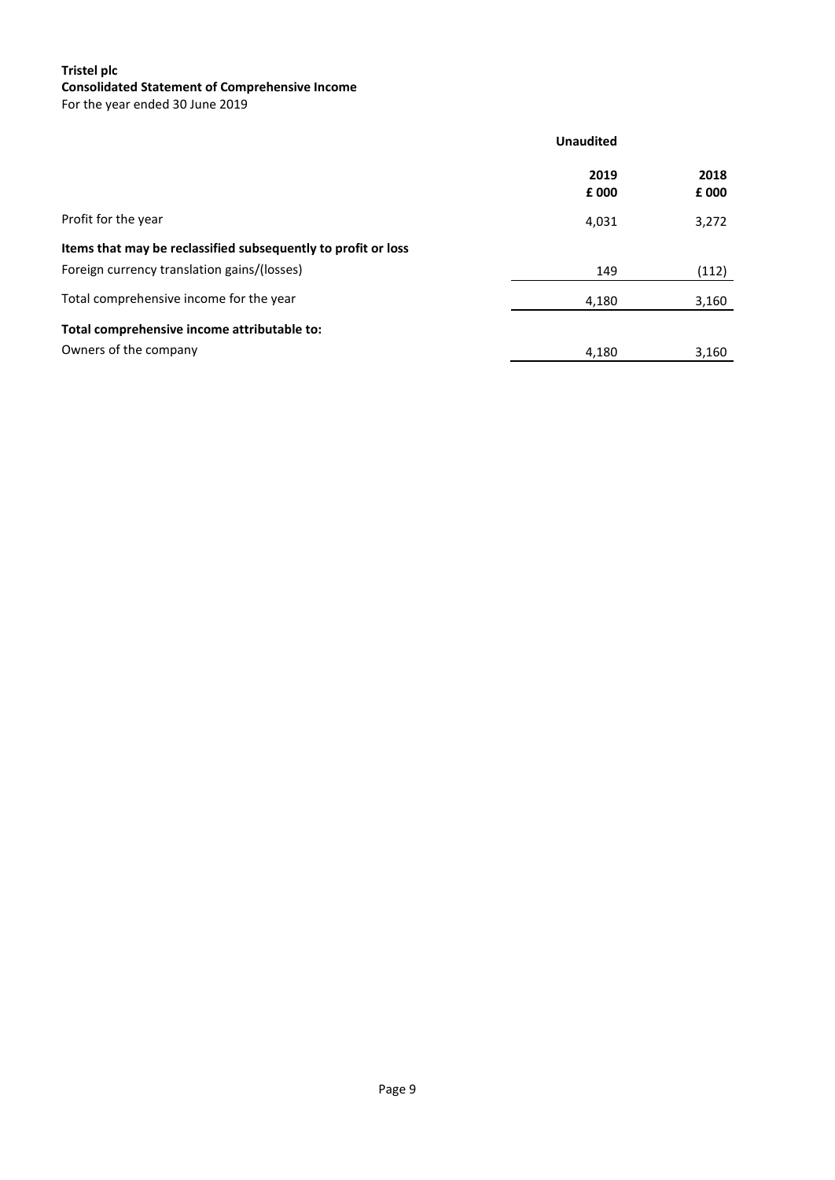# **Tristel plc Consolidated Statement of Comprehensive Income**

For the year ended 30 June 2019

|                                                                                                              | <b>Unaudited</b> |               |  |
|--------------------------------------------------------------------------------------------------------------|------------------|---------------|--|
|                                                                                                              | 2019<br>£ 000    | 2018<br>£ 000 |  |
| Profit for the year                                                                                          | 4,031            | 3,272         |  |
| Items that may be reclassified subsequently to profit or loss<br>Foreign currency translation gains/(losses) | 149              | (112)         |  |
| Total comprehensive income for the year                                                                      | 4,180            | 3,160         |  |
| Total comprehensive income attributable to:<br>Owners of the company                                         | 4,180            | 3,160         |  |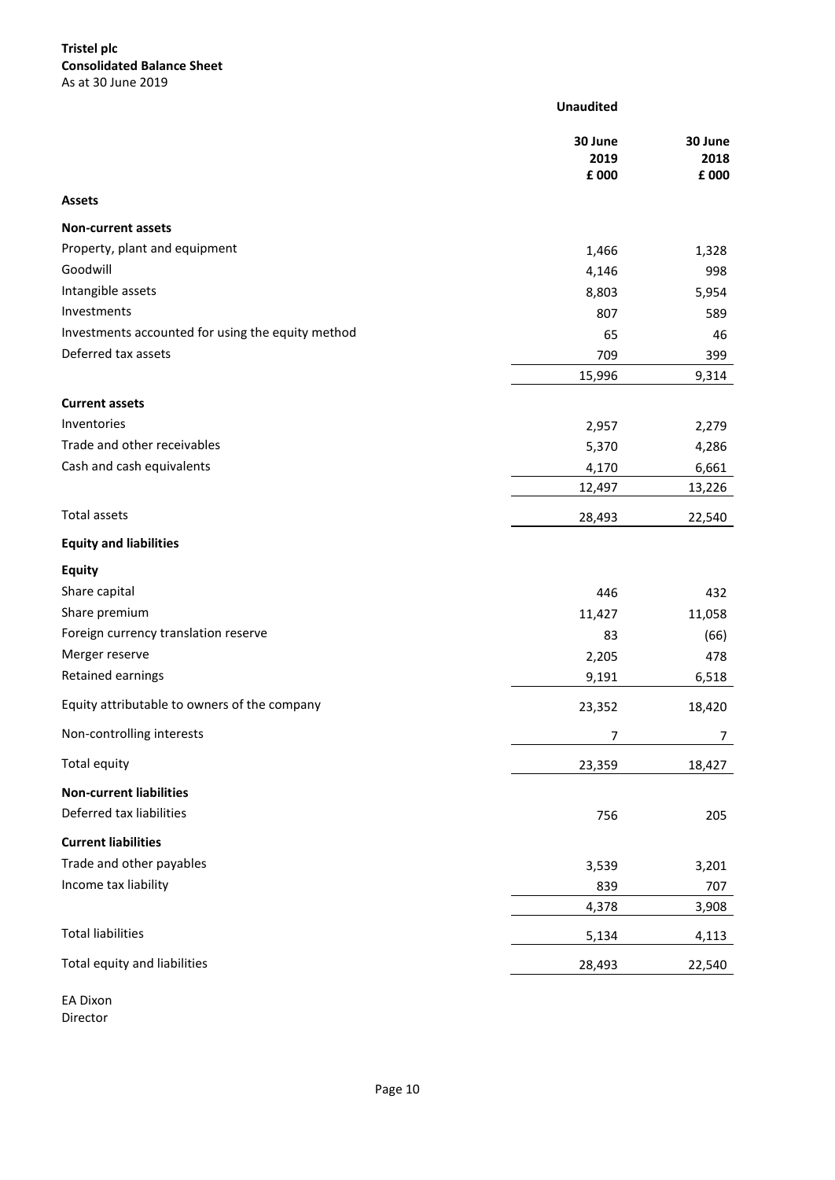# **Tristel plc Consolidated Balance Sheet** As at 30 June 2019

|                                                   | <b>Unaudited</b>         |                          |
|---------------------------------------------------|--------------------------|--------------------------|
|                                                   | 30 June<br>2019<br>£ 000 | 30 June<br>2018<br>£ 000 |
| <b>Assets</b>                                     |                          |                          |
| <b>Non-current assets</b>                         |                          |                          |
| Property, plant and equipment                     | 1,466                    | 1,328                    |
| Goodwill                                          | 4,146                    | 998                      |
| Intangible assets                                 | 8,803                    | 5,954                    |
| Investments                                       | 807                      | 589                      |
| Investments accounted for using the equity method | 65                       | 46                       |
| Deferred tax assets                               | 709                      | 399                      |
|                                                   | 15,996                   | 9,314                    |
| <b>Current assets</b>                             |                          |                          |
| Inventories                                       | 2,957                    | 2,279                    |
| Trade and other receivables                       | 5,370                    | 4,286                    |
| Cash and cash equivalents                         | 4,170                    | 6,661                    |
|                                                   | 12,497                   | 13,226                   |
| Total assets                                      | 28,493                   | 22,540                   |
| <b>Equity and liabilities</b>                     |                          |                          |
| <b>Equity</b>                                     |                          |                          |
| Share capital                                     | 446                      | 432                      |
| Share premium                                     | 11,427                   | 11,058                   |
| Foreign currency translation reserve              | 83                       | (66)                     |
| Merger reserve                                    | 2,205                    | 478                      |
| Retained earnings                                 | 9,191                    | 6,518                    |
| Equity attributable to owners of the company      | 23,352                   | 18,420                   |
| Non-controlling interests                         | 7                        | 7                        |
| Total equity                                      | 23,359                   | 18,427                   |
| <b>Non-current liabilities</b>                    |                          |                          |
| Deferred tax liabilities                          | 756                      | 205                      |
| <b>Current liabilities</b>                        |                          |                          |
| Trade and other payables                          | 3,539                    | 3,201                    |
| Income tax liability                              | 839                      | 707                      |
|                                                   | 4,378                    | 3,908                    |
| <b>Total liabilities</b>                          | 5,134                    | 4,113                    |
| Total equity and liabilities                      | 28,493                   | 22,540                   |
| <b>EA Dixon</b>                                   |                          |                          |

Director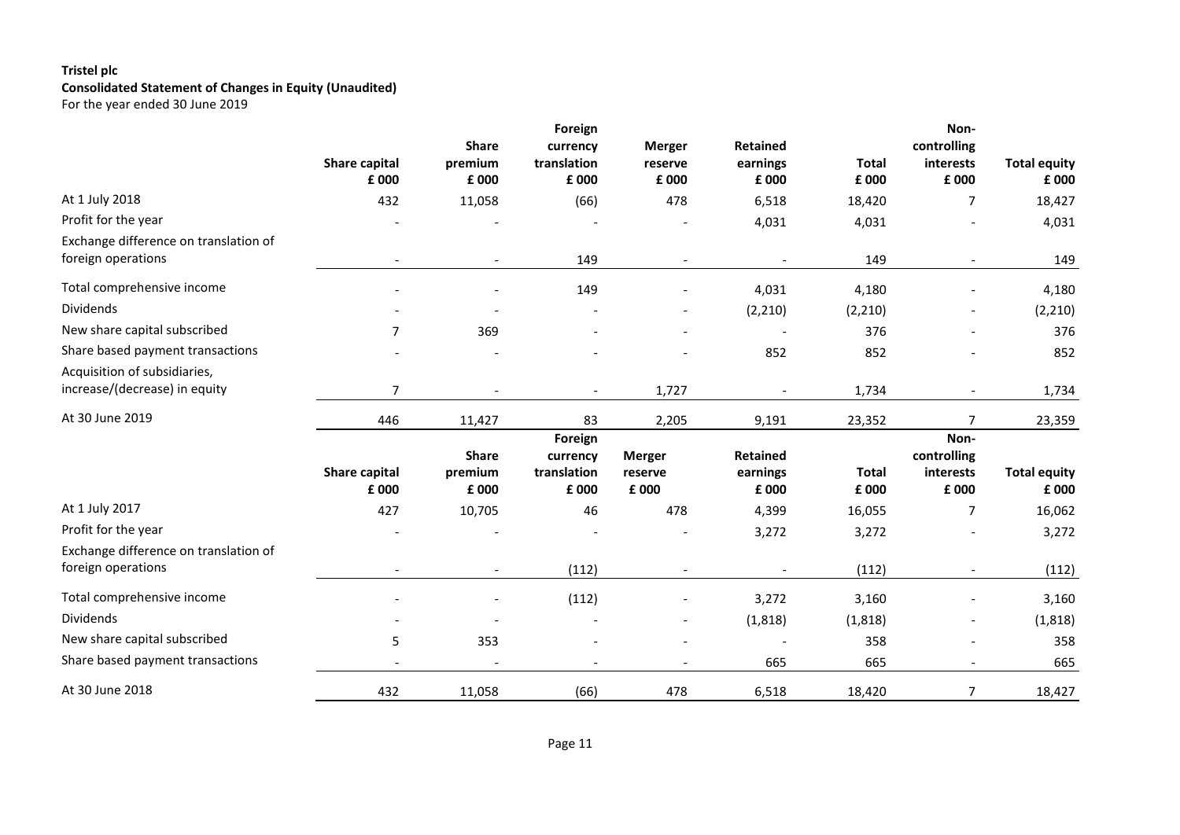# **Tristel plc Consolidated Statement of Changes in Equity (Unaudited)** For the year ended 30 June 2019

|                                                               |                               | <b>Share</b>                     | Foreign<br>currency                         | <b>Merger</b>                     | <b>Retained</b>                      |                       | Non-<br>controlling                       |                              |
|---------------------------------------------------------------|-------------------------------|----------------------------------|---------------------------------------------|-----------------------------------|--------------------------------------|-----------------------|-------------------------------------------|------------------------------|
|                                                               | <b>Share capital</b><br>£ 000 | premium<br>£ 000                 | translation<br>£ 000                        | reserve<br>£ 000                  | earnings<br>£ 000                    | <b>Total</b><br>£ 000 | interests<br>£ 000                        | <b>Total equity</b><br>£ 000 |
| At 1 July 2018                                                | 432                           | 11,058                           | (66)                                        | 478                               | 6,518                                | 18,420                | 7                                         | 18,427                       |
| Profit for the year                                           |                               |                                  |                                             |                                   | 4,031                                | 4,031                 |                                           | 4,031                        |
| Exchange difference on translation of<br>foreign operations   |                               |                                  | 149                                         |                                   |                                      | 149                   |                                           | 149                          |
| Total comprehensive income                                    |                               |                                  | 149                                         |                                   | 4,031                                | 4,180                 |                                           | 4,180                        |
| <b>Dividends</b>                                              |                               |                                  |                                             |                                   | (2, 210)                             | (2, 210)              |                                           | (2, 210)                     |
| New share capital subscribed                                  | $\overline{7}$                | 369                              |                                             |                                   |                                      | 376                   |                                           | 376                          |
| Share based payment transactions                              |                               |                                  |                                             |                                   | 852                                  | 852                   |                                           | 852                          |
| Acquisition of subsidiaries,<br>increase/(decrease) in equity | $\overline{7}$                |                                  | $\blacksquare$                              | 1,727                             |                                      | 1,734                 |                                           | 1,734                        |
| At 30 June 2019                                               | 446                           | 11,427                           | 83                                          | 2,205                             | 9,191                                | 23,352                | $\overline{7}$                            | 23,359                       |
|                                                               | Share capital<br>£ 000        | <b>Share</b><br>premium<br>£ 000 | Foreign<br>currency<br>translation<br>£ 000 | <b>Merger</b><br>reserve<br>£ 000 | <b>Retained</b><br>earnings<br>£ 000 | <b>Total</b><br>£ 000 | Non-<br>controlling<br>interests<br>£ 000 | <b>Total equity</b><br>£ 000 |
| At 1 July 2017                                                | 427                           | 10,705                           | 46                                          | 478                               | 4,399                                | 16,055                | 7                                         | 16,062                       |
| Profit for the year                                           |                               |                                  |                                             |                                   | 3,272                                | 3,272                 |                                           | 3,272                        |
| Exchange difference on translation of<br>foreign operations   |                               |                                  | (112)                                       |                                   |                                      | (112)                 |                                           | (112)                        |
| Total comprehensive income                                    |                               |                                  | (112)                                       |                                   | 3,272                                | 3,160                 |                                           | 3,160                        |
| <b>Dividends</b>                                              |                               |                                  |                                             |                                   | (1,818)                              | (1, 818)              |                                           | (1, 818)                     |
| New share capital subscribed                                  | 5                             | 353                              |                                             |                                   |                                      | 358                   |                                           | 358                          |
| Share based payment transactions                              |                               |                                  |                                             |                                   | 665                                  | 665                   |                                           | 665                          |
| At 30 June 2018                                               | 432                           | 11,058                           | (66)                                        | 478                               | 6,518                                | 18,420                | 7                                         | 18,427                       |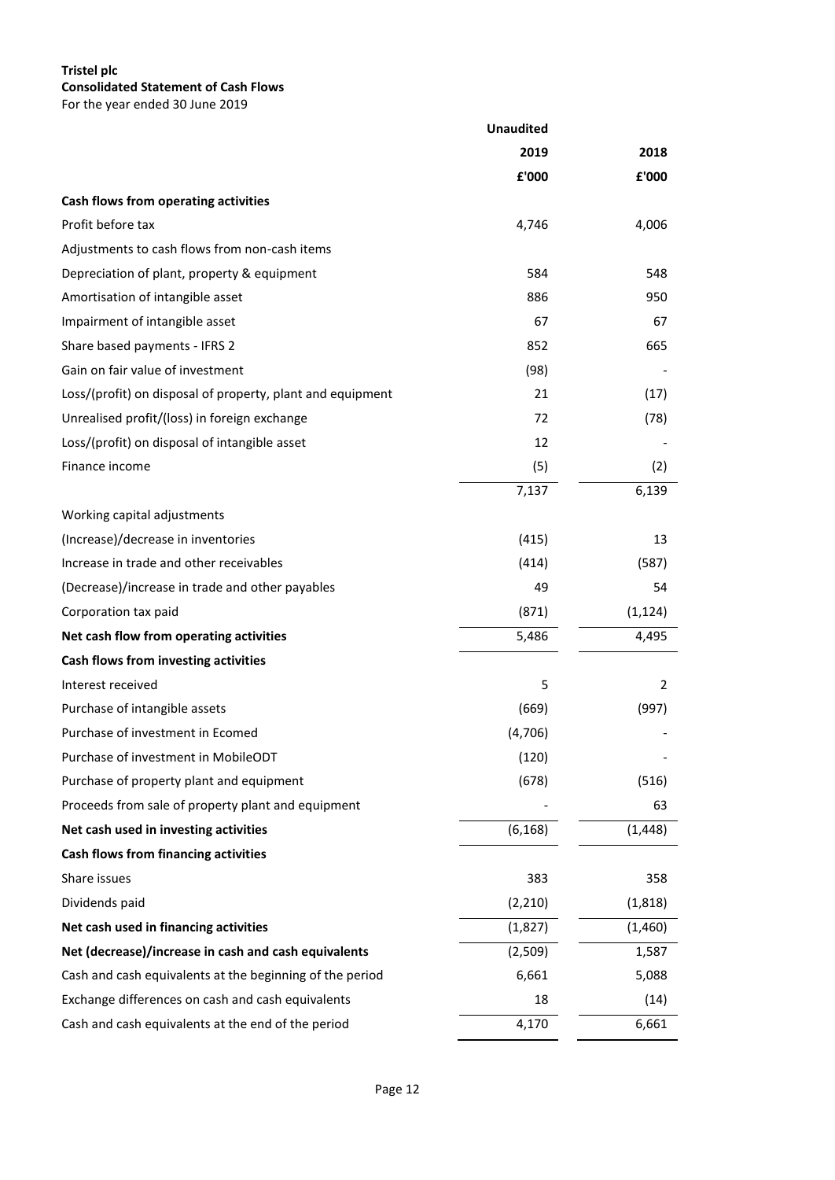# **Tristel plc Consolidated Statement of Cash Flows**

For the year ended 30 June 2019

|                                                            | <b>Unaudited</b> |          |  |
|------------------------------------------------------------|------------------|----------|--|
|                                                            | 2019             | 2018     |  |
|                                                            | ${\bf f}$ '000   | £'000    |  |
| Cash flows from operating activities                       |                  |          |  |
| Profit before tax                                          | 4,746            | 4,006    |  |
| Adjustments to cash flows from non-cash items              |                  |          |  |
| Depreciation of plant, property & equipment                | 584              | 548      |  |
| Amortisation of intangible asset                           | 886              | 950      |  |
| Impairment of intangible asset                             | 67               | 67       |  |
| Share based payments - IFRS 2                              | 852              | 665      |  |
| Gain on fair value of investment                           | (98)             |          |  |
| Loss/(profit) on disposal of property, plant and equipment | 21               | (17)     |  |
| Unrealised profit/(loss) in foreign exchange               | 72               | (78)     |  |
| Loss/(profit) on disposal of intangible asset              | 12               |          |  |
| Finance income                                             | (5)              | (2)      |  |
|                                                            | 7,137            | 6,139    |  |
| Working capital adjustments                                |                  |          |  |
| (Increase)/decrease in inventories                         | (415)            | 13       |  |
| Increase in trade and other receivables                    | (414)            | (587)    |  |
| (Decrease)/increase in trade and other payables            | 49               | 54       |  |
| Corporation tax paid                                       | (871)            | (1, 124) |  |
| Net cash flow from operating activities                    | 5,486            | 4,495    |  |
| Cash flows from investing activities                       |                  |          |  |
| Interest received                                          | 5                | 2        |  |
| Purchase of intangible assets                              | (669)            | (997)    |  |
| Purchase of investment in Ecomed                           | (4,706)          |          |  |
| Purchase of investment in MobileODT                        | (120)            |          |  |
| Purchase of property plant and equipment                   | (678)            | (516)    |  |
| Proceeds from sale of property plant and equipment         |                  | 63       |  |
| Net cash used in investing activities                      | (6, 168)         | (1, 448) |  |
| Cash flows from financing activities                       |                  |          |  |
| Share issues                                               | 383              | 358      |  |
| Dividends paid                                             | (2, 210)         | (1,818)  |  |
| Net cash used in financing activities                      | (1,827)          | (1,460)  |  |
| Net (decrease)/increase in cash and cash equivalents       | (2,509)          | 1,587    |  |
| Cash and cash equivalents at the beginning of the period   | 6,661            | 5,088    |  |
| Exchange differences on cash and cash equivalents          | 18               | (14)     |  |
| Cash and cash equivalents at the end of the period         | 4,170            | 6,661    |  |

 $\hat{a}$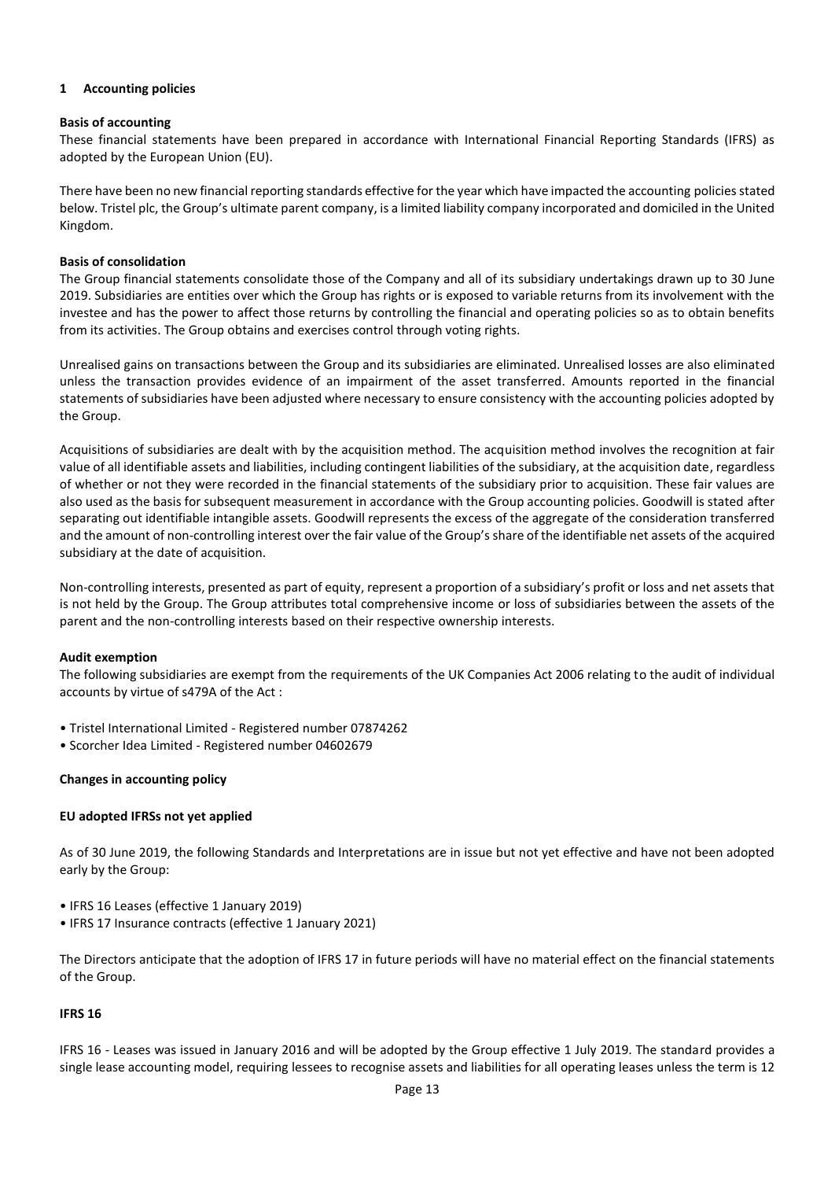# **1 Accounting policies**

# **Basis of accounting**

These financial statements have been prepared in accordance with International Financial Reporting Standards (IFRS) as adopted by the European Union (EU).

There have been no new financial reporting standards effective for the year which have impacted the accounting policies stated below. Tristel plc, the Group's ultimate parent company, is a limited liability company incorporated and domiciled in the United Kingdom.

# **Basis of consolidation**

The Group financial statements consolidate those of the Company and all of its subsidiary undertakings drawn up to 30 June 2019. Subsidiaries are entities over which the Group has rights or is exposed to variable returns from its involvement with the investee and has the power to affect those returns by controlling the financial and operating policies so as to obtain benefits from its activities. The Group obtains and exercises control through voting rights.

Unrealised gains on transactions between the Group and its subsidiaries are eliminated. Unrealised losses are also eliminated unless the transaction provides evidence of an impairment of the asset transferred. Amounts reported in the financial statements of subsidiaries have been adjusted where necessary to ensure consistency with the accounting policies adopted by the Group.

Acquisitions of subsidiaries are dealt with by the acquisition method. The acquisition method involves the recognition at fair value of all identifiable assets and liabilities, including contingent liabilities of the subsidiary, at the acquisition date, regardless of whether or not they were recorded in the financial statements of the subsidiary prior to acquisition. These fair values are also used as the basis for subsequent measurement in accordance with the Group accounting policies. Goodwill is stated after separating out identifiable intangible assets. Goodwill represents the excess of the aggregate of the consideration transferred and the amount of non-controlling interest over the fair value of the Group's share of the identifiable net assets of the acquired subsidiary at the date of acquisition.

Non-controlling interests, presented as part of equity, represent a proportion of a subsidiary's profit or loss and net assets that is not held by the Group. The Group attributes total comprehensive income or loss of subsidiaries between the assets of the parent and the non-controlling interests based on their respective ownership interests.

# **Audit exemption**

The following subsidiaries are exempt from the requirements of the UK Companies Act 2006 relating to the audit of individual accounts by virtue of s479A of the Act :

- Tristel International Limited Registered number 07874262
- Scorcher Idea Limited Registered number 04602679

# **Changes in accounting policy**

# **EU adopted IFRSs not yet applied**

As of 30 June 2019, the following Standards and Interpretations are in issue but not yet effective and have not been adopted early by the Group:

- IFRS 16 Leases (effective 1 January 2019)
- IFRS 17 Insurance contracts (effective 1 January 2021)

The Directors anticipate that the adoption of IFRS 17 in future periods will have no material effect on the financial statements of the Group.

# **IFRS 16**

IFRS 16 - Leases was issued in January 2016 and will be adopted by the Group effective 1 July 2019. The standard provides a single lease accounting model, requiring lessees to recognise assets and liabilities for all operating leases unless the term is 12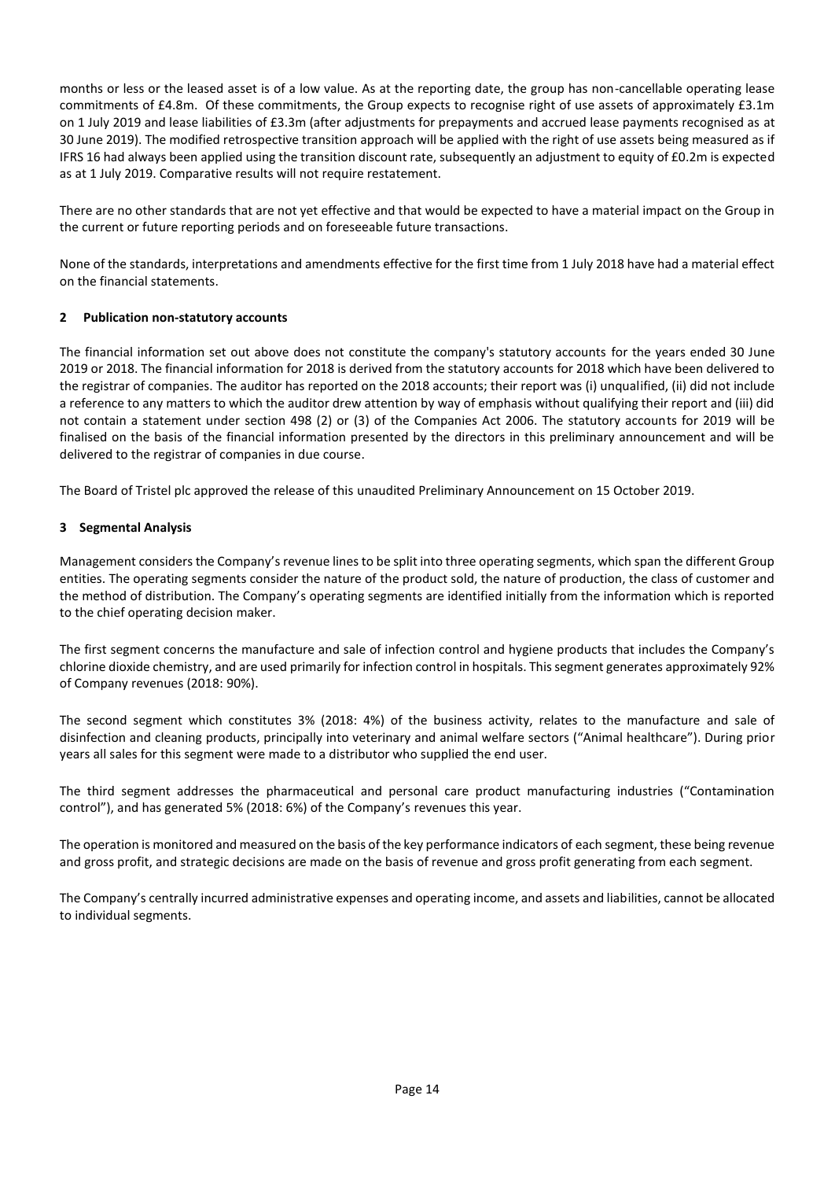months or less or the leased asset is of a low value. As at the reporting date, the group has non-cancellable operating lease commitments of £4.8m. Of these commitments, the Group expects to recognise right of use assets of approximately £3.1m on 1 July 2019 and lease liabilities of £3.3m (after adjustments for prepayments and accrued lease payments recognised as at 30 June 2019). The modified retrospective transition approach will be applied with the right of use assets being measured as if IFRS 16 had always been applied using the transition discount rate, subsequently an adjustment to equity of £0.2m is expected as at 1 July 2019. Comparative results will not require restatement.

There are no other standards that are not yet effective and that would be expected to have a material impact on the Group in the current or future reporting periods and on foreseeable future transactions.

None of the standards, interpretations and amendments effective for the first time from 1 July 2018 have had a material effect on the financial statements.

# **2 Publication non-statutory accounts**

The financial information set out above does not constitute the company's statutory accounts for the years ended 30 June 2019 or 2018. The financial information for 2018 is derived from the statutory accounts for 2018 which have been delivered to the registrar of companies. The auditor has reported on the 2018 accounts; their report was (i) unqualified, (ii) did not include a reference to any matters to which the auditor drew attention by way of emphasis without qualifying their report and (iii) did not contain a statement under section 498 (2) or (3) of the Companies Act 2006. The statutory accounts for 2019 will be finalised on the basis of the financial information presented by the directors in this preliminary announcement and will be delivered to the registrar of companies in due course.

The Board of Tristel plc approved the release of this unaudited Preliminary Announcement on 15 October 2019.

# **3 Segmental Analysis**

Management considers the Company's revenue lines to be split into three operating segments, which span the different Group entities. The operating segments consider the nature of the product sold, the nature of production, the class of customer and the method of distribution. The Company's operating segments are identified initially from the information which is reported to the chief operating decision maker.

The first segment concerns the manufacture and sale of infection control and hygiene products that includes the Company's chlorine dioxide chemistry, and are used primarily for infection control in hospitals. This segment generates approximately 92% of Company revenues (2018: 90%).

The second segment which constitutes 3% (2018: 4%) of the business activity, relates to the manufacture and sale of disinfection and cleaning products, principally into veterinary and animal welfare sectors ("Animal healthcare"). During prior years all sales for this segment were made to a distributor who supplied the end user.

The third segment addresses the pharmaceutical and personal care product manufacturing industries ("Contamination control"), and has generated 5% (2018: 6%) of the Company's revenues this year.

The operation is monitored and measured on the basis of the key performance indicators of each segment, these being revenue and gross profit, and strategic decisions are made on the basis of revenue and gross profit generating from each segment.

The Company's centrally incurred administrative expenses and operating income, and assets and liabilities, cannot be allocated to individual segments.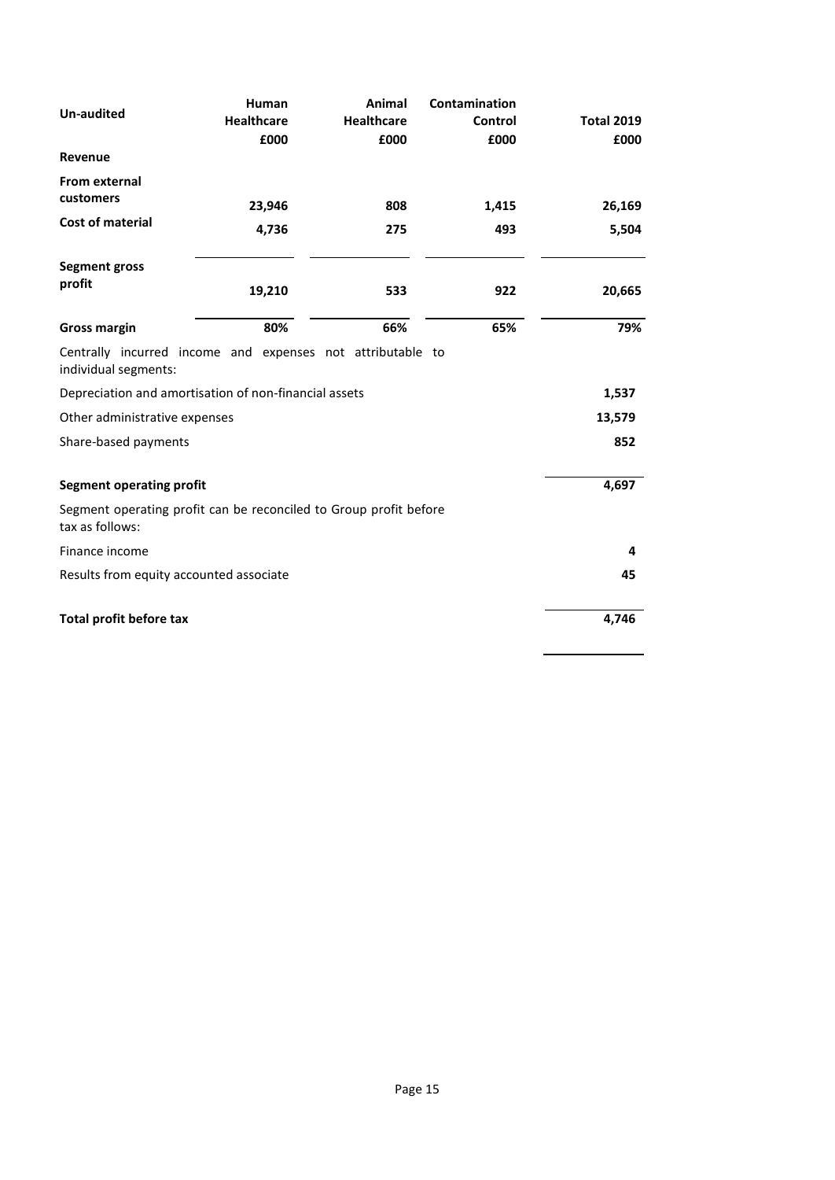| <b>Un-audited</b>                                                                    | Human<br><b>Healthcare</b><br>£000 | Animal<br><b>Healthcare</b><br>£000 | Contamination<br>Control<br>£000 | <b>Total 2019</b><br>£000 |
|--------------------------------------------------------------------------------------|------------------------------------|-------------------------------------|----------------------------------|---------------------------|
| Revenue                                                                              |                                    |                                     |                                  |                           |
| <b>From external</b><br>customers                                                    | 23,946                             | 808                                 | 1,415                            | 26,169                    |
| <b>Cost of material</b>                                                              | 4,736                              | 275                                 | 493                              | 5,504                     |
| <b>Segment gross</b><br>profit                                                       | 19,210                             | 533                                 | 922                              | 20,665                    |
| <b>Gross margin</b>                                                                  | 80%                                | 66%                                 | 65%                              | 79%                       |
| Centrally incurred income and expenses not attributable to<br>individual segments:   |                                    |                                     |                                  |                           |
| Depreciation and amortisation of non-financial assets                                |                                    |                                     |                                  | 1,537                     |
| Other administrative expenses                                                        |                                    |                                     |                                  | 13,579                    |
| Share-based payments                                                                 |                                    |                                     |                                  | 852                       |
| <b>Segment operating profit</b>                                                      |                                    |                                     |                                  | 4,697                     |
| Segment operating profit can be reconciled to Group profit before<br>tax as follows: |                                    |                                     |                                  |                           |
| Finance income                                                                       |                                    |                                     |                                  | 4                         |
| Results from equity accounted associate                                              |                                    |                                     |                                  | 45                        |
| <b>Total profit before tax</b>                                                       |                                    |                                     |                                  | 4,746                     |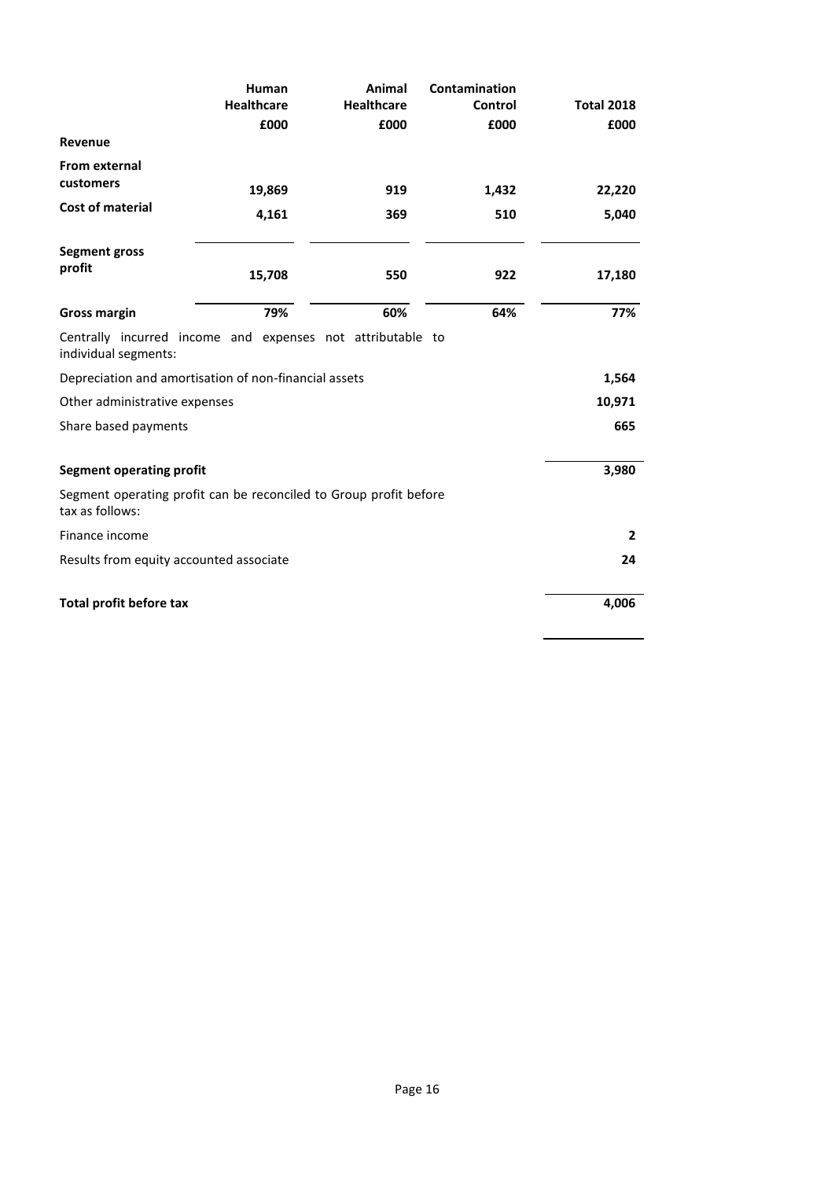|                                                                                      | Human                     | Animal                    | Contamination   |                           |
|--------------------------------------------------------------------------------------|---------------------------|---------------------------|-----------------|---------------------------|
|                                                                                      | <b>Healthcare</b><br>£000 | <b>Healthcare</b><br>£000 | Control<br>£000 | <b>Total 2018</b><br>£000 |
| Revenue                                                                              |                           |                           |                 |                           |
| <b>From external</b><br>customers                                                    | 19,869                    | 919                       | 1,432           | 22,220                    |
| Cost of material                                                                     | 4,161                     | 369                       | 510             | 5,040                     |
| <b>Segment gross</b><br>profit                                                       | 15,708                    | 550                       | 922             | 17,180                    |
| <b>Gross margin</b>                                                                  | 79%                       | 60%                       | 64%             | 77%                       |
| Centrally incurred income and expenses not attributable to<br>individual segments:   |                           |                           |                 |                           |
| Depreciation and amortisation of non-financial assets                                |                           |                           |                 | 1,564                     |
| Other administrative expenses                                                        |                           |                           |                 | 10,971                    |
| Share based payments                                                                 |                           |                           |                 | 665                       |
| <b>Segment operating profit</b>                                                      |                           |                           |                 | 3,980                     |
| Segment operating profit can be reconciled to Group profit before<br>tax as follows: |                           |                           |                 |                           |
| Finance income                                                                       |                           |                           |                 | $\overline{2}$            |
| Results from equity accounted associate                                              |                           |                           |                 | 24                        |
| Total profit before tax                                                              |                           |                           |                 | 4,006                     |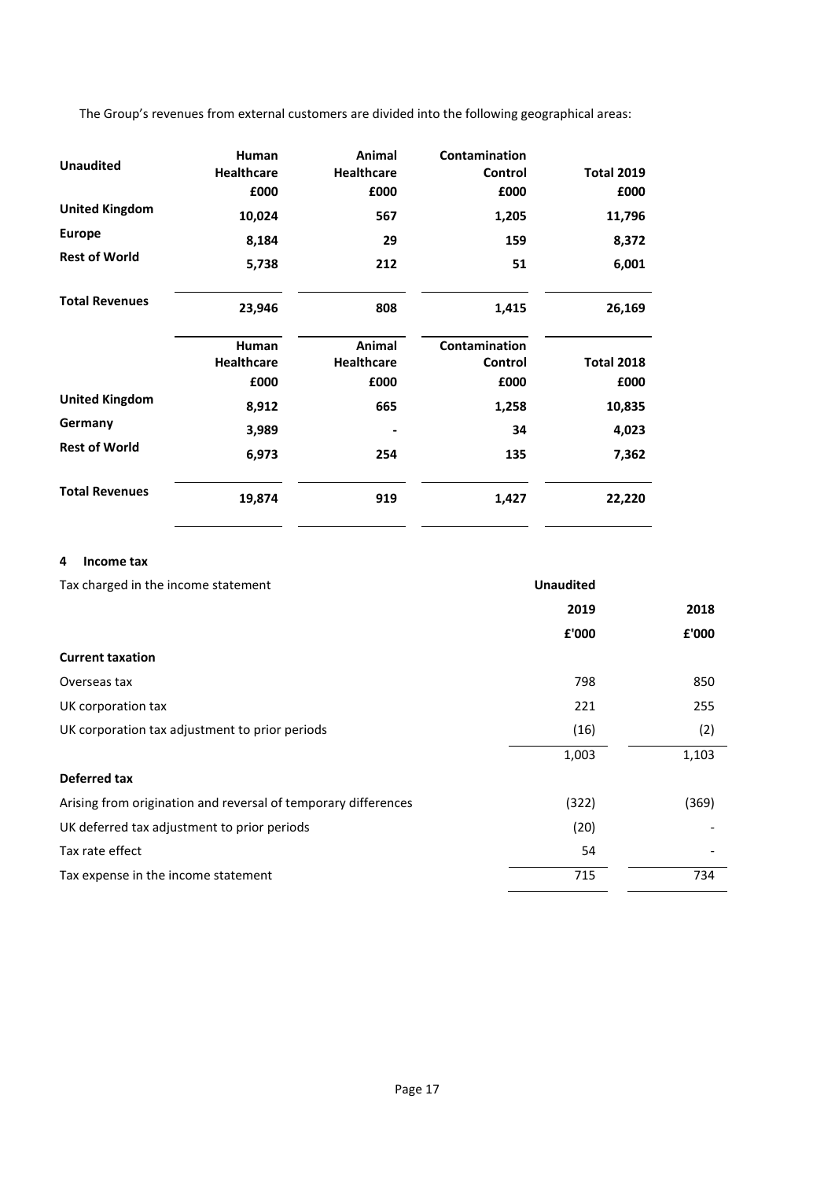The Group's revenues from external customers are divided into the following geographical areas:

|                       | Human             | Animal            | Contamination |                   |
|-----------------------|-------------------|-------------------|---------------|-------------------|
| <b>Unaudited</b>      | <b>Healthcare</b> | <b>Healthcare</b> | Control       | <b>Total 2019</b> |
|                       | £000              | £000              | £000          | £000              |
| <b>United Kingdom</b> | 10,024            | 567               | 1,205         | 11,796            |
| <b>Europe</b>         | 8,184             | 29                | 159           | 8,372             |
| <b>Rest of World</b>  | 5,738             | 212               | 51            | 6,001             |
| <b>Total Revenues</b> | 23,946            | 808               | 1,415         | 26,169            |
|                       | Human             | Animal            | Contamination |                   |
|                       | <b>Healthcare</b> | <b>Healthcare</b> | Control       | <b>Total 2018</b> |
|                       | £000              | £000              | £000          | £000              |
| <b>United Kingdom</b> | 8,912             | 665               | 1,258         | 10,835            |
| Germany               | 3,989             |                   | 34            | 4,023             |
| <b>Rest of World</b>  | 6,973             | 254               | 135           | 7,362             |
| <b>Total Revenues</b> | 19,874            | 919               | 1,427         | 22,220            |

# **4 Income tax**

| Tax charged in the income statement                            | <b>Unaudited</b> |       |
|----------------------------------------------------------------|------------------|-------|
|                                                                | 2019             | 2018  |
|                                                                | £'000            | £'000 |
| <b>Current taxation</b>                                        |                  |       |
| Overseas tax                                                   | 798              | 850   |
| UK corporation tax                                             | 221              | 255   |
| UK corporation tax adjustment to prior periods                 | (16)             | (2)   |
|                                                                | 1,003            | 1,103 |
| <b>Deferred tax</b>                                            |                  |       |
| Arising from origination and reversal of temporary differences | (322)            | (369) |
| UK deferred tax adjustment to prior periods                    | (20)             |       |
| Tax rate effect                                                | 54               |       |
| Tax expense in the income statement                            | 715              | 734   |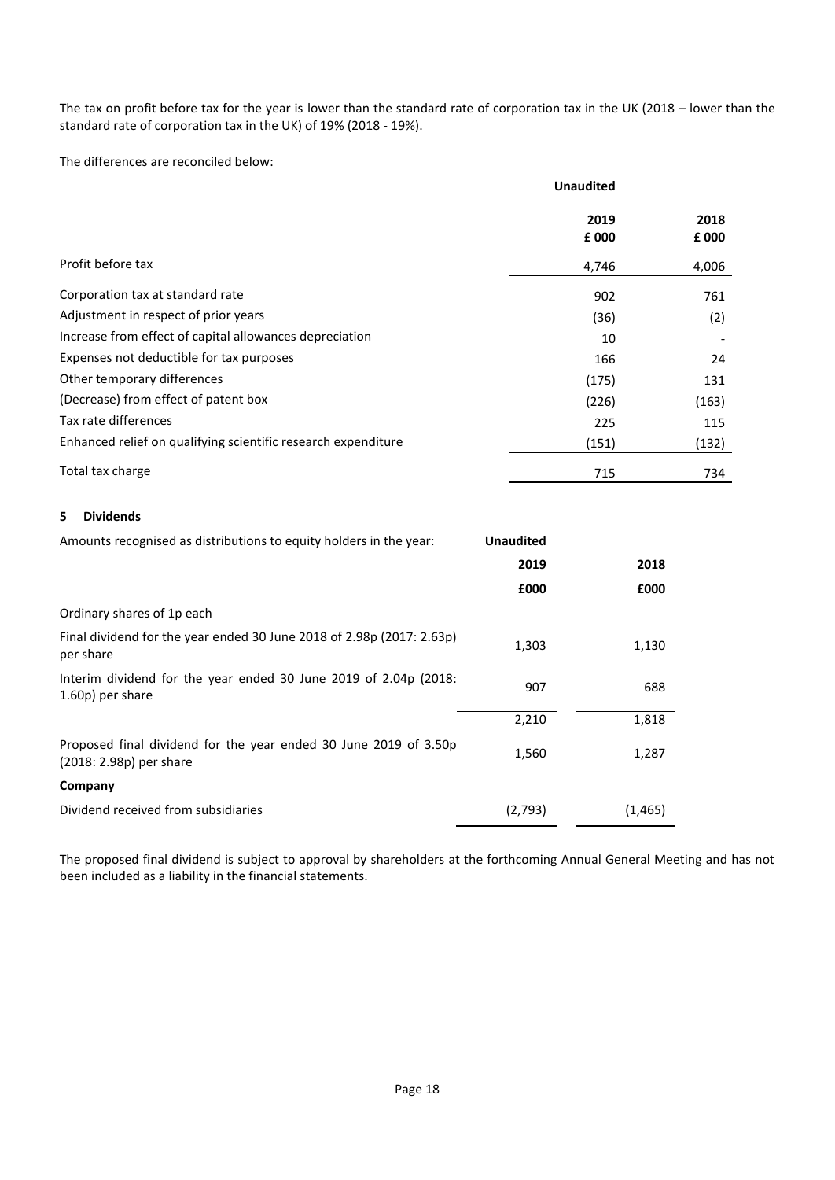The tax on profit before tax for the year is lower than the standard rate of corporation tax in the UK (2018 – lower than the standard rate of corporation tax in the UK) of 19% (2018 - 19%).

The differences are reconciled below:

|                                                               | <b>Unaudited</b> |       |
|---------------------------------------------------------------|------------------|-------|
|                                                               | 2019             | 2018  |
|                                                               | £ 000            | £000  |
| Profit before tax                                             | 4,746            | 4,006 |
| Corporation tax at standard rate                              | 902              | 761   |
| Adjustment in respect of prior years                          | (36)             | (2)   |
| Increase from effect of capital allowances depreciation       | 10               |       |
| Expenses not deductible for tax purposes                      | 166              | 24    |
| Other temporary differences                                   | (175)            | 131   |
| (Decrease) from effect of patent box                          | (226)            | (163) |
| Tax rate differences                                          | 225              | 115   |
| Enhanced relief on qualifying scientific research expenditure | (151)            | (132) |
| Total tax charge                                              | 715              | 734   |

# **5 Dividends**

| Amounts recognised as distributions to equity holders in the year:                          | <b>Unaudited</b> |          |
|---------------------------------------------------------------------------------------------|------------------|----------|
|                                                                                             | 2019             | 2018     |
|                                                                                             | £000             | £000     |
| Ordinary shares of 1p each                                                                  |                  |          |
| Final dividend for the year ended 30 June 2018 of 2.98p (2017: 2.63p)<br>per share          | 1,303            | 1,130    |
| Interim dividend for the year ended 30 June 2019 of 2.04p (2018:<br>1.60p) per share        | 907              | 688      |
|                                                                                             | 2,210            | 1,818    |
| Proposed final dividend for the year ended 30 June 2019 of 3.50p<br>(2018: 2.98p) per share | 1,560            | 1,287    |
| Company                                                                                     |                  |          |
| Dividend received from subsidiaries                                                         | (2,793)          | (1, 465) |

The proposed final dividend is subject to approval by shareholders at the forthcoming Annual General Meeting and has not been included as a liability in the financial statements.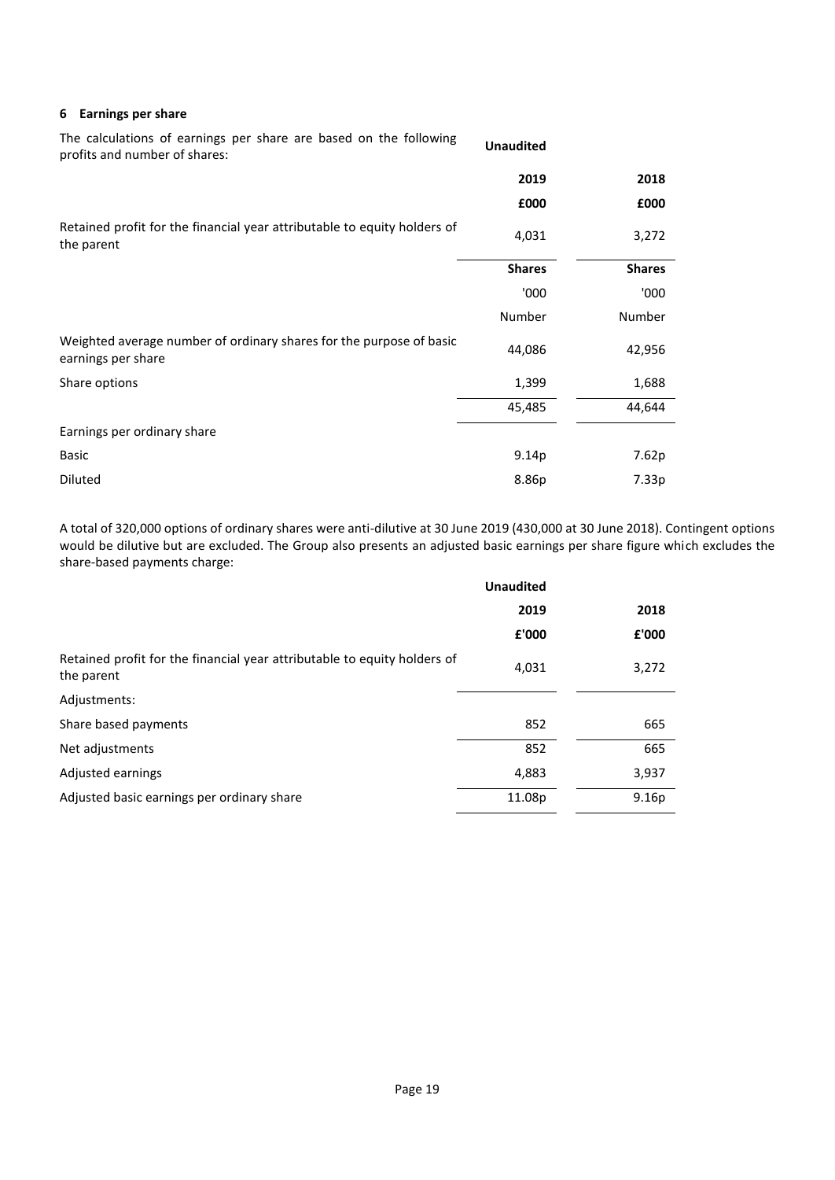#### **6 Earnings per share**

| The calculations of earnings per share are based on the following<br>profits and number of shares: | <b>Unaudited</b>  |               |
|----------------------------------------------------------------------------------------------------|-------------------|---------------|
|                                                                                                    | 2019              | 2018          |
|                                                                                                    | £000              | £000          |
| Retained profit for the financial year attributable to equity holders of<br>the parent             | 4,031             | 3,272         |
|                                                                                                    | <b>Shares</b>     | <b>Shares</b> |
|                                                                                                    | '000              | '000          |
|                                                                                                    | Number            | Number        |
| Weighted average number of ordinary shares for the purpose of basic<br>earnings per share          | 44,086            | 42,956        |
| Share options                                                                                      | 1,399             | 1,688         |
|                                                                                                    | 45,485            | 44,644        |
| Earnings per ordinary share                                                                        |                   |               |
| <b>Basic</b>                                                                                       | 9.14 <sub>p</sub> | 7.62p         |
| Diluted                                                                                            | 8.86p             | 7.33p         |

A total of 320,000 options of ordinary shares were anti-dilutive at 30 June 2019 (430,000 at 30 June 2018). Contingent options would be dilutive but are excluded. The Group also presents an adjusted basic earnings per share figure which excludes the share-based payments charge:

|                                                                                        | <b>Unaudited</b> |                   |  |
|----------------------------------------------------------------------------------------|------------------|-------------------|--|
|                                                                                        | 2019             | 2018              |  |
|                                                                                        | £'000            | £'000             |  |
| Retained profit for the financial year attributable to equity holders of<br>the parent | 4,031            | 3,272             |  |
| Adjustments:                                                                           |                  |                   |  |
| Share based payments                                                                   | 852              | 665               |  |
| Net adjustments                                                                        | 852              | 665               |  |
| Adjusted earnings                                                                      | 4,883            | 3,937             |  |
| Adjusted basic earnings per ordinary share                                             | 11.08p           | 9.16 <sub>p</sub> |  |